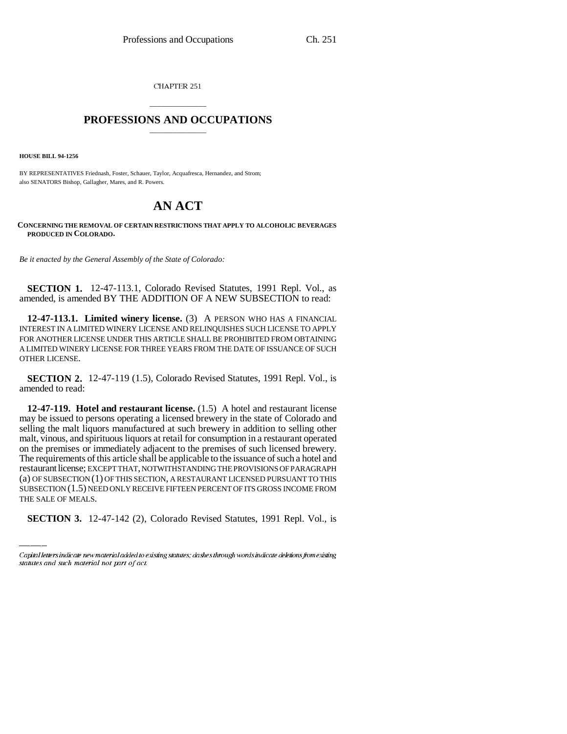CHAPTER 251

## \_\_\_\_\_\_\_\_\_\_\_\_\_\_\_ **PROFESSIONS AND OCCUPATIONS** \_\_\_\_\_\_\_\_\_\_\_\_\_\_\_

**HOUSE BILL 94-1256**

BY REPRESENTATIVES Friednash, Foster, Schauer, Taylor, Acquafresca, Hernandez, and Strom; also SENATORS Bishop, Gallagher, Mares, and R. Powers.

## **AN ACT**

**CONCERNING THE REMOVAL OF CERTAIN RESTRICTIONS THAT APPLY TO ALCOHOLIC BEVERAGES PRODUCED IN COLORADO.**

*Be it enacted by the General Assembly of the State of Colorado:*

**SECTION 1.** 12-47-113.1, Colorado Revised Statutes, 1991 Repl. Vol., as amended, is amended BY THE ADDITION OF A NEW SUBSECTION to read:

**12-47-113.1. Limited winery license.** (3) A PERSON WHO HAS A FINANCIAL INTEREST IN A LIMITED WINERY LICENSE AND RELINQUISHES SUCH LICENSE TO APPLY FOR ANOTHER LICENSE UNDER THIS ARTICLE SHALL BE PROHIBITED FROM OBTAINING A LIMITED WINERY LICENSE FOR THREE YEARS FROM THE DATE OF ISSUANCE OF SUCH OTHER LICENSE.

**SECTION 2.** 12-47-119 (1.5), Colorado Revised Statutes, 1991 Repl. Vol., is amended to read:

(a) OF SUBSECTION (1) OF THIS SECTION, A RESTAURANT LICENSED PURSUANT TO THIS **12-47-119. Hotel and restaurant license.** (1.5) A hotel and restaurant license may be issued to persons operating a licensed brewery in the state of Colorado and selling the malt liquors manufactured at such brewery in addition to selling other malt, vinous, and spirituous liquors at retail for consumption in a restaurant operated on the premises or immediately adjacent to the premises of such licensed brewery. The requirements of this article shall be applicable to the issuance of such a hotel and restaurant license; EXCEPT THAT, NOTWITHSTANDING THE PROVISIONS OF PARAGRAPH SUBSECTION (1.5) NEED ONLY RECEIVE FIFTEEN PERCENT OF ITS GROSS INCOME FROM THE SALE OF MEALS.

**SECTION 3.** 12-47-142 (2), Colorado Revised Statutes, 1991 Repl. Vol., is

Capital letters indicate new material added to existing statutes; dashes through words indicate deletions from existing statutes and such material not part of act.